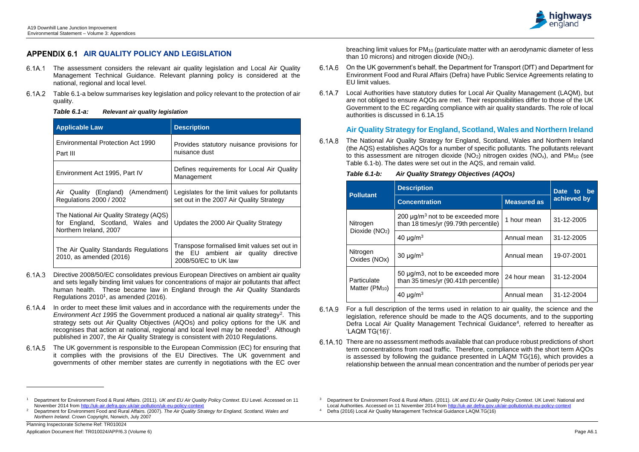$\overline{a}$ 



# **APPENDIX 6.1 AIR QUALITY POLICY AND LEGISLATION**

- The assessment considers the relevant air quality legislation and Local Air Quality Management Technical Guidance. Relevant planning policy is considered at the national, regional and local level.
- Table 6.1-a below summarises key legislation and policy relevant to the protection of air quality.

| Table 6.1-a: | <b>Relevant air quality legislation</b> |
|--------------|-----------------------------------------|
|--------------|-----------------------------------------|

| <b>Applicable Law</b>                                                                                 | <b>Description</b>                                                                                              |  |  |  |  |
|-------------------------------------------------------------------------------------------------------|-----------------------------------------------------------------------------------------------------------------|--|--|--|--|
| <b>Environmental Protection Act 1990</b><br>Part III                                                  | Provides statutory nuisance provisions for<br>nuisance dust                                                     |  |  |  |  |
| Environment Act 1995, Part IV                                                                         | Defines requirements for Local Air Quality<br>Management                                                        |  |  |  |  |
| Air Quality (England) (Amendment)<br>Regulations 2000 / 2002                                          | Legislates for the limit values for pollutants<br>set out in the 2007 Air Quality Strategy                      |  |  |  |  |
| The National Air Quality Strategy (AQS)<br>for England, Scotland, Wales and<br>Northern Ireland, 2007 | Updates the 2000 Air Quality Strategy                                                                           |  |  |  |  |
| The Air Quality Standards Regulations<br>2010, as amended (2016)                                      | Transpose formalised limit values set out in<br>the EU ambient air quality<br>directive<br>2008/50/EC to UK law |  |  |  |  |

breaching limit values for PM<sup>10</sup> (particulate matter with an aerodynamic diameter of less than 10 microns) and nitrogen dioxide  $(NO<sub>2</sub>)$ .

- Directive 2008/50/EC consolidates previous European Directives on ambient air quality and sets legally binding limit values for concentrations of major air pollutants that affect human health. These became law in England through the Air Quality Standards Regulations 2010<sup>1</sup>, as amended (2016).
- 6.1A.4 In order to meet these limit values and in accordance with the requirements under the Environment Act 1995 the Government produced a national air quality strategy<sup>2</sup>. This strategy sets out Air Quality Objectives (AQOs) and policy options for the UK and recognises that action at national, regional and local level may be needed<sup>3</sup>. Although published in 2007, the Air Quality Strategy is consistent with 2010 Regulations.
- 6.1A.5 The UK government is responsible to the European Commission (EC) for ensuring that it complies with the provisions of the EU Directives. The UK government and governments of other member states are currently in negotiations with the EC over
- 6.1A.9 For a full description of the terms used in relation to air quality, the science and the legislation, reference should be made to the AQS documents, and to the supporting Defra Local Air Quality Management Technical Guidance<sup>4</sup>, referred to hereafter as 'LAQM TG(16)'.
- 6.1A.10 There are no assessment methods available that can produce robust predictions of short term concentrations from road traffic. Therefore, compliance with the short term AQOs is assessed by following the guidance presented in LAQM TG(16), which provides a relationship between the annual mean concentration and the number of periods per year
- On the UK government's behalf, the Department for Transport (DfT) and Department for 6.1A.6 Environment Food and Rural Affairs (Defra) have Public Service Agreements relating to EU limit values.
- 6.1A.7 Local Authorities have statutory duties for Local Air Quality Management (LAQM), but are not obliged to ensure AQOs are met. Their responsibilities differ to those of the UK Government to the EC regarding compliance with air quality standards. The role of local authorities is discussed in 6.1A.15

# **Air Quality Strategy for England, Scotland, Wales and Northern Ireland**

The National Air Quality Strategy for England, Scotland, Wales and Northern Ireland 6.1A.8 (the AQS) establishes AQOs for a number of specific pollutants. The pollutants relevant to this assessment are nitrogen dioxide  $(NO<sub>2</sub>)$  nitrogen oxides  $(NO<sub>x</sub>)$ , and PM<sub>10</sub> (see Table 6.1-b). The dates were set out in the AQS, and remain valid.

#### *Table 6.1-b: Air Quality Strategy Objectives (AQOs)*

| . apie 6.1-p             |                                                                                             |                          |             |  |  |
|--------------------------|---------------------------------------------------------------------------------------------|--------------------------|-------------|--|--|
|                          | <b>Description</b>                                                                          | <b>Date</b><br>be.<br>to |             |  |  |
| <b>Pollutant</b>         | <b>Concentration</b>                                                                        | <b>Measured as</b>       | achieved by |  |  |
| Nitrogen                 | 200 $\mu$ g/m <sup>3</sup> not to be exceeded more<br>than 18 times/yr (99.79th percentile) | 1 hour mean              | 31-12-2005  |  |  |
| Dioxide $(NO2)$          | 40 $\mu$ g/m <sup>3</sup>                                                                   | Annual mean              | 31-12-2005  |  |  |
| Nitrogen<br>Oxides (NOx) | 30 $\mu$ g/m <sup>3</sup>                                                                   | Annual mean              | 19-07-2001  |  |  |
| Particulate              | 50 µg/m3, not to be exceeded more<br>than 35 times/yr (90.41th percentile)                  | 24 hour mean             | 31-12-2004  |  |  |
| Matter $(PM_{10})$       | 40 $\mu$ g/m <sup>3</sup>                                                                   | Annual mean              | 31-12-2004  |  |  |

<sup>1</sup> Department for Environment Food & Rural Affairs. (2011). *UK and EU Air Quality Policy Context*. EU Level. Accessed on 11 November 2014 from http://uk-air.defra.gov.uk/air-pollution/uk-eu-policy-context

<sup>2</sup> Department for Environment Food and Rural Affairs. (2007). *The Air Quality Strategy for England, Scotland, Wales and Northern Ireland*. Crown Copyright, Norwich, July 2007

<sup>3</sup> Department for Environment Food & Rural Affairs. (2011). *UK and EU Air Quality Policy Context*. UK Level: National and Local Authorities. Accessed on 11 November 2014 from<http://uk-air.defra.gov.uk/air-pollution/uk-eu-policy-context> <sup>4</sup> Defra (2016) Local Air Quality Management Technical Guidance LAQM.TG(16)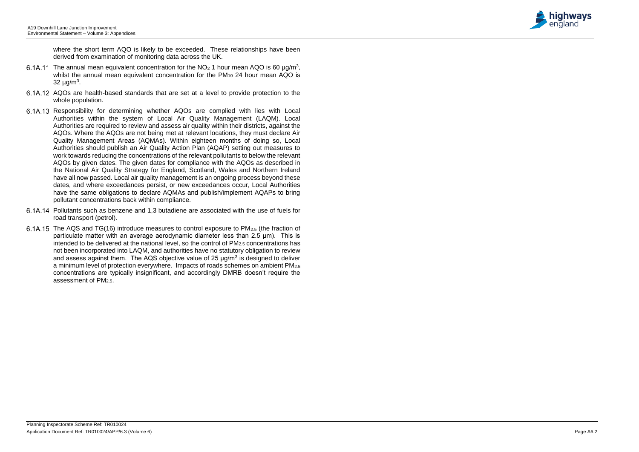

where the short term AQO is likely to be exceeded. These relationships have been derived from examination of monitoring data across the UK.

- The annual mean equivalent concentration for the  $NO<sub>2</sub>$  1 hour mean AQO is 60  $\mu$ g/m<sup>3</sup>, whilst the annual mean equivalent concentration for the  $PM_{10}$  24 hour mean  $A\overline{Q}O$  is  $32 \mu g/m^3$ .
- AQOs are health-based standards that are set at a level to provide protection to the whole population.
- Responsibility for determining whether AQOs are complied with lies with Local Authorities within the system of Local Air Quality Management (LAQM). Local Authorities are required to review and assess air quality within their districts, against the AQOs. Where the AQOs are not being met at relevant locations, they must declare Air Quality Management Areas (AQMAs). Within eighteen months of doing so, Local Authorities should publish an Air Quality Action Plan (AQAP) setting out measures to work towards reducing the concentrations of the relevant pollutants to below the relevant AQOs by given dates. The given dates for compliance with the AQOs as described in the National Air Quality Strategy for England, Scotland, Wales and Northern Ireland have all now passed. Local air quality management is an ongoing process beyond these dates, and where exceedances persist, or new exceedances occur, Local Authorities have the same obligations to declare AQMAs and publish/implement AQAPs to bring pollutant concentrations back within compliance.
- Pollutants such as benzene and 1,3 butadiene are associated with the use of fuels for road transport (petrol).
- $6.1A.15$  The AQS and TG(16) introduce measures to control exposure to PM<sub>2.5</sub> (the fraction of particulate matter with an average aerodynamic diameter less than 2.5 μm). This is intended to be delivered at the national level, so the control of  $PM<sub>2.5</sub>$  concentrations has not been incorporated into LAQM, and authorities have no statutory obligation to review and assess against them. The AQS objective value of 25  $\mu$ g/m<sup>3</sup> is designed to deliver a minimum level of protection everywhere. Impacts of roads schemes on ambient PM2.5 concentrations are typically insignificant, and accordingly DMRB doesn't require the assessment of PM<sub>2.5</sub>.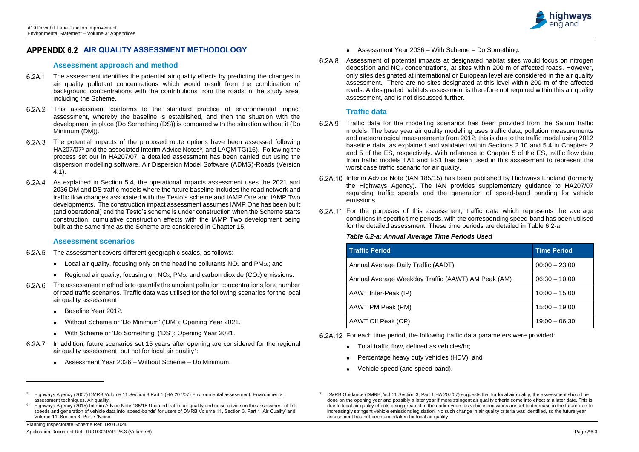l

# **APPENDIX 6.2 AIR QUALITY ASSESSMENT METHODOLOGY**

## **Assessment approach and method**

- The assessment identifies the potential air quality effects by predicting the changes in air quality pollutant concentrations which would result from the combination of background concentrations with the contributions from the roads in the study area, including the Scheme.
- This assessment conforms to the standard practice of environmental impact assessment, whereby the baseline is established, and then the situation with the development in place (Do Something (DS)) is compared with the situation without it (Do Minimum (DM)).
- The potential impacts of the proposed route options have been assessed following HA207/07<sup>5</sup> and the associated Interim Advice Notes<sup>6</sup>, and LAQM TG(16). Following the process set out in HA207/07, a detailed assessment has been carried out using the dispersion modelling software, Air Dispersion Model Software (ADMS)-Roads (Version 4.1).
- 6.2A.4 As explained in Section 5.4, the operational impacts assessment uses the 2021 and 2036 DM and DS traffic models where the future baseline includes the road network and traffic flow changes associated with the Testo's scheme and IAMP One and IAMP Two developments. The construction impact assessment assumes IAMP One has been built (and operational) and the Testo's scheme is under construction when the Scheme starts construction; cumulative construction effects with the IAMP Two development being built at the same time as the Scheme are considered in Chapter 15.

## **Assessment scenarios**

- The assessment covers different geographic scales, as follows:
	- Local air quality, focusing only on the headline pollutants  $NO<sub>2</sub>$  and  $PM<sub>10</sub>$ ; and
	- **•** Regional air quality, focusing on  $NO_x$ ,  $PM_{10}$  and carbon dioxide  $(CO_2)$  emissions.
- The assessment method is to quantify the ambient pollution concentrations for a number of road traffic scenarios. Traffic data was utilised for the following scenarios for the local air quality assessment:
	- Baseline Year 2012.
	- Without Scheme or 'Do Minimum' ('DM'): Opening Year 2021.
	- With Scheme or 'Do Something' ('DS'): Opening Year 2021.
- 6.2A.7 In addition, future scenarios set 15 years after opening are considered for the regional air quality assessment, but not for local air quality<sup>7</sup>:
	- Assessment Year 2036 Without Scheme Do Minimum.
- 6.2A.9 Traffic data for the modelling scenarios has been provided from the Saturn traffic models. The base year air quality modelling uses traffic data, pollution measurements and meteorological measurements from 2012; this is due to the traffic model using 2012 baseline data, as explained and validated within Sections 2.10 and 5.4 in Chapters 2 and 5 of the ES, respectively. With reference to Chapter 5 of the ES, traffic flow data from traffic models TA1 and ES1 has been used in this assessment to represent the worst case traffic scenario for air quality.
- 6.2A.10 Interim Advice Note (IAN 185/15) has been published by Highways England (formerly the Highways Agency). The IAN provides supplementary guidance to HA207/07 regarding traffic speeds and the generation of speed-band banding for vehicle emissions.
- 6.2A.11 For the purposes of this assessment, traffic data which represents the average conditions in specific time periods, with the corresponding speed-band has been utilised for the detailed assessment. These time periods are detailed in Table 6.2-a.

## **Table 6.2-a: Annual Average Time Periods Us**

- Total traffic flow, defined as vehicles/hr;
- Percentage heavy duty vehicles (HDV); and
- Vehicle speed (and speed-band).
- DMRB Guidance (DMRB, Vol 11 Section 3, Part 1 HA 207/07) suggests that for local air quality, the assessment should be done on the opening year and possibly a later year if more stringent air quality criteria come into effect at a later date. This is due to local air quality effects being greatest in the earlier years as vehicle emissions are set to decrease in the future due to increasingly stringent vehicle emissions legislation. No such change in air quality criteria was identified, so the future year assessment has not been undertaken for local air quality.



| P.<br>v<br>×<br>٦<br>۰.<br>۰.<br>$\overline{\phantom{a}}$<br>$\sim$ |  |
|---------------------------------------------------------------------|--|
|                                                                     |  |

- Assessment Year 2036 With Scheme Do Something.
- Assessment of potential impacts at designated habitat sites would focus on nitrogen deposition and NO<sup>x</sup> concentrations, at sites within 200 m of affected roads. However, only sites designated at international or European level are considered in the air quality assessment. There are no sites designated at this level within 200 m of the affected roads. A designated habitats assessment is therefore not required within this air quality assessment, and is not discussed further.

# **Traffic data**

| <b>Traffic Period</b>                              | <b>Time Period</b> |
|----------------------------------------------------|--------------------|
| Annual Average Daily Traffic (AADT)                | $00:00 - 23:00$    |
| Annual Average Weekday Traffic (AAWT) AM Peak (AM) | $06:30 - 10:00$    |
| AAWT Inter-Peak (IP)                               | $10:00 - 15:00$    |
| AAWT PM Peak (PM)                                  | $15:00 - 19:00$    |
| AAWT Off Peak (OP)                                 | $19:00 - 06:30$    |

For each time period, the following traffic data parameters were provided:

<sup>5</sup> Highways Agency (2007) DMRB Volume 11 Section 3 Part 1 (HA 207/07) Environmental assessment. Environmental assessment techniques. Air quality.

<sup>6</sup> Highways Agency (2015) Interim Advice Note 185/15 Updated traffic, air quality and noise advice on the assessment of link speeds and generation of vehicle data into 'speed-bands' for users of DMRB Volume 11, Section 3, Part 1 'Air Quality' and Volume 11, Section 3. Part 7 'Noise'.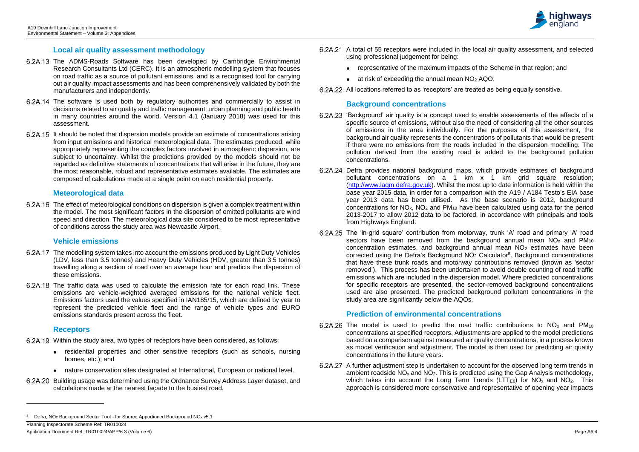Planning Inspectorate Scheme Ref: TR010024 Application Document Ref: TR010024/APP/6.3 (Volume 6) Page A6.4

- 6.2A.21 A total of 55 receptors were included in the local air quality assessment, and selected using professional judgement for being:
	- representative of the maximum impacts of the Scheme in that region; and
	- at risk of exceeding the annual mean NO<sup>2</sup> AQO.
- 6.2A.22 All locations referred to as 'receptors' are treated as being equally sensitive.

#### **Local air quality assessment methodology**

- 6.2A.13 The ADMS-Roads Software has been developed by Cambridge Environmental Research Consultants Ltd (CERC). It is an atmospheric modelling system that focuses on road traffic as a source of pollutant emissions, and is a recognised tool for carrying out air quality impact assessments and has been comprehensively validated by both the manufacturers and independently.
- 6.2A.14 The software is used both by regulatory authorities and commercially to assist in decisions related to air quality and traffic management, urban planning and public health in many countries around the world. Version 4.1 (January 2018) was used for this assessment.
- 6.2A.15 It should be noted that dispersion models provide an estimate of concentrations arising from input emissions and historical meteorological data. The estimates produced, while appropriately representing the complex factors involved in atmospheric dispersion, are subject to uncertainty. Whilst the predictions provided by the models should not be regarded as definitive statements of concentrations that will arise in the future, they are the most reasonable, robust and representative estimates available. The estimates are composed of calculations made at a single point on each residential property.

#### **Meteorological data**

The effect of meteorological conditions on dispersion is given a complex treatment within the model. The most significant factors in the dispersion of emitted pollutants are wind speed and direction. The meteorological data site considered to be most representative of conditions across the study area was Newcastle Airport.

#### **Vehicle emissions**

- The modelling system takes into account the emissions produced by Light Duty Vehicles (LDV, less than 3.5 tonnes) and Heavy Duty Vehicles (HDV, greater than 3.5 tonnes) travelling along a section of road over an average hour and predicts the dispersion of these emissions.
- 6.2A.18 The traffic data was used to calculate the emission rate for each road link. These emissions are vehicle-weighted averaged emissions for the national vehicle fleet. Emissions factors used the values specified in IAN185/15, which are defined by year to represent the predicted vehicle fleet and the range of vehicle types and EURO emissions standards present across the fleet.

#### **Receptors**

l

- Within the study area, two types of receptors have been considered, as follows:
	- residential properties and other sensitive receptors (such as schools, nursing homes, etc.); and
	- nature conservation sites designated at International, European or national level.
- Building usage was determined using the Ordnance Survey Address Layer dataset, and calculations made at the nearest façade to the busiest road.
- 6.2A.26 The model is used to predict the road traffic contributions to  $NO<sub>x</sub>$  and  $PM<sub>10</sub>$ concentrations at specified receptors. Adjustments are applied to the model predictions based on a comparison against measured air quality concentrations, in a process known as model verification and adjustment. The model is then used for predicting air quality concentrations in the future years.
- 6.2A.27 A further adjustment step is undertaken to account for the observed long term trends in ambient roadside  $NO<sub>x</sub>$  and  $NO<sub>2</sub>$ . This is predicted using the Gap Analysis methodology, which takes into account the Long Term Trends ( $LTT_{E6}$ ) for  $NO_{x}$  and  $NO_{2}$ . This approach is considered more conservative and representative of opening year impacts



### **Background concentrations**

- 'Background' air quality is a concept used to enable assessments of the effects of a specific source of emissions, without also the need of considering all the other sources of emissions in the area individually. For the purposes of this assessment, the background air quality represents the concentrations of pollutants that would be present if there were no emissions from the roads included in the dispersion modelling. The pollution derived from the existing road is added to the background pollution concentrations.
- 6.2A.24 Defra provides national background maps, which provide estimates of background pollutant concentrations on a 1 km x 1 km grid square resolution; [\(http://www.laqm.defra.gov.uk\)](http://www.laqm.defra.gov.uk/). Whilst the most up to date information is held within the base year 2015 data, in order for a comparison with the A19 / A184 Testo's EIA base year 2013 data has been utilised. As the base scenario is 2012, background concentrations for NOx, NO<sup>2</sup> and PM<sup>10</sup> have been calculated using data for the period 2013-2017 to allow 2012 data to be factored, in accordance with principals and tools from Highways England.
- The 'in-grid square' contribution from motorway, trunk 'A' road and primary 'A' road sectors have been removed from the background annual mean  $NO<sub>x</sub>$  and  $PM<sub>10</sub>$ concentration estimates, and background annual mean  $NO<sub>2</sub>$  estimates have been corrected using the Defra's Background NO<sub>2</sub> Calculator<sup>8</sup>. Background concentrations that have these trunk roads and motorway contributions removed (known as 'sector removed'). This process has been undertaken to avoid double counting of road traffic emissions which are included in the dispersion model. Where predicted concentrations for specific receptors are presented, the sector-removed background concentrations used are also presented. The predicted background pollutant concentrations in the study area are significantly below the AQOs.

## **Prediction of environmental concentrations**

<sup>8</sup> Defra, NO<sub>2</sub> Background Sector Tool - for Source Apportioned Background NO<sub>x</sub> v5.1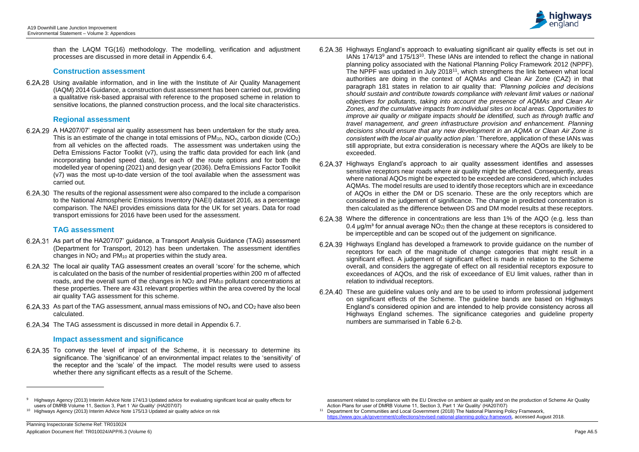$\overline{a}$ 

than the LAQM TG(16) methodology. The modelling, verification and adjustment processes are discussed in more detail in Appendix 6.4.

#### **Construction assessment**

Using available information, and in line with the Institute of Air Quality Management (IAQM) 2014 Guidance, a construction dust assessment has been carried out, providing a qualitative risk-based appraisal with reference to the proposed scheme in relation to sensitive locations, the planned construction process, and the local site characteristics.

### **Regional assessment**

- As part of the HA207/07' guidance, a Transport Analysis Guidance (TAG) assessment (Department for Transport, 2012) has been undertaken. The assessment identifies changes in  $NO<sub>2</sub>$  and  $PM<sub>10</sub>$  at properties within the study area.
- The local air quality TAG assessment creates an overall 'score' for the scheme, which is calculated on the basis of the number of residential properties within 200 m of affected roads, and the overall sum of the changes in  $NO<sub>2</sub>$  and  $PM<sub>10</sub>$  pollutant concentrations at these properties. There are 431 relevant properties within the area covered by the local air quality TAG assessment for this scheme.
- 6.2A.33 As part of the TAG assessment, annual mass emissions of  $NO<sub>x</sub>$  and  $CO<sub>2</sub>$  have also been calculated.
- 6.2A.34 The TAG assessment is discussed in more detail in Appendix 6.7.
- A HA207/07' regional air quality assessment has been undertaken for the study area. This is an estimate of the change in total emissions of  $PM_{10}$ ,  $NO_{x}$ , carbon dioxide (CO<sub>2</sub>) from all vehicles on the affected roads. The assessment was undertaken using the Defra Emissions Factor Toolkit (v7), using the traffic data provided for each link (and incorporating banded speed data), for each of the route options and for both the modelled year of opening (2021) and design year (2036). Defra Emissions Factor Toolkit (v7) was the most up-to-date version of the tool available when the assessment was carried out.
- The results of the regional assessment were also compared to the include a comparison to the National Atmospheric Emissions Inventory (NAEI) dataset 2016, as a percentage comparison. The NAEI provides emissions data for the UK for set years. Data for road transport emissions for 2016 have been used for the assessment.

6.2A.35 To convey the level of impact of the Scheme, it is necessary to determine its significance. The 'significance' of an environmental impact relates to the 'sensitivity' of the receptor and the 'scale' of the impact. The model results were used to assess whether there any significant effects as a result of the Scheme.

#### **TAG assessment**

## **Impact assessment and significance**

- 6.2A.36 Highways England's approach to evaluating significant air quality effects is set out in IANs  $174/13<sup>9</sup>$  and  $175/13<sup>10</sup>$ . These IANs are intended to reflect the change in national planning policy associated with the National Planning Policy Framework 2012 (NPPF). The NPPF was updated in July 2018<sup>11</sup>, which strengthens the link between what local authorities are doing in the context of AQMAs and Clean Air Zone (CAZ) in that paragraph 181 states in relation to air quality that: *'Planning policies and decisions should sustain and contribute towards compliance with relevant limit values or national objectives for pollutants, taking into account the presence of AQMAs and Clean Air Zones, and the cumulative impacts from individual sites on local areas. Opportunities to improve air quality or mitigate impacts should be identified, such as through traffic and travel management, and green infrastructure provision and enhancement. Planning decisions should ensure that any new development in an AQMA or Clean Air Zone is consistent with the local air quality action plan.'* Therefore, application of these IANs was still appropriate, but extra consideration is necessary where the AQOs are likely to be exceeded.
- 6.2A.37 Highways England's approach to air quality assessment identifies and assesses sensitive receptors near roads where air quality might be affected. Consequently, areas where national AQOs might be expected to be exceeded are considered, which includes AQMAs. The model results are used to identify those receptors which are in exceedance of AQOs in either the DM or DS scenario. These are the only receptors which are considered in the judgement of significance. The change in predicted concentration is then calculated as the difference between DS and DM model results at these receptors.
- Where the difference in concentrations are less than 1% of the AQO (e.g. less than 0.4  $\mu$ g/m<sup>3</sup> for annual average NO<sub>2</sub>) then the change at these receptors is considered to be imperceptible and can be scoped out of the judgement on significance.
- 6.2A.39 Highways England has developed a framework to provide guidance on the number of receptors for each of the magnitude of change categories that might result in a significant effect. A judgement of significant effect is made in relation to the Scheme overall, and considers the aggregate of effect on all residential receptors exposure to exceedances of AQOs, and the risk of exceedance of EU limit values, rather than in relation to individual receptors.
- These are guideline values only and are to be used to inform professional judgement on significant effects of the Scheme. The guideline bands are based on Highways England's considered opinion and are intended to help provide consistency across all Highways England schemes. The significance categories and guideline property numbers are summarised in Table 6.2-b.

assessment related to compliance with the EU Directive on ambient air quality and on the production of Scheme Air Quality Action Plans for user of DMRB Volume 11, Section 3, Part 1 'Air Quality' (HA207/07)

<sup>11</sup> Department for Communities and Local Government (2018) The National Planning Policy Framework, [https://www.gov.uk/government/collections/revised-national-planning-policy-framework,](https://www.gov.uk/government/collections/revised-national-planning-policy-framework) accessed August 2018.



<sup>9</sup> Highways Agency (2013) Interim Advice Note 174/13 Updated advice for evaluating significant local air quality effects for users of DMRB Volume 11, Section 3, Part 1 'Air Quality' (HA207/07)

<sup>&</sup>lt;sup>10</sup> Highways Agency (2013) Interim Advice Note 175/13 Updated air quality advice on risk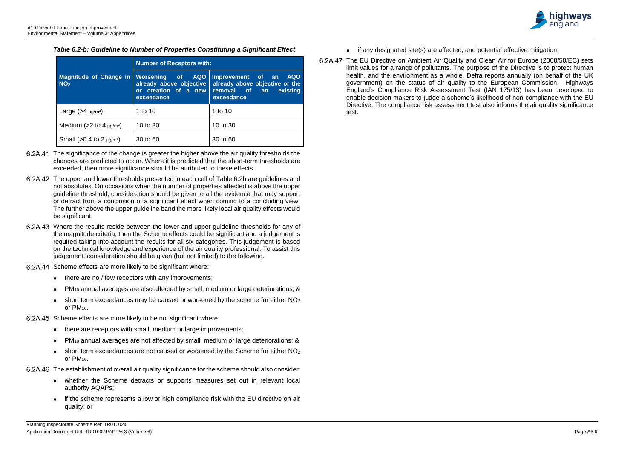

|                                                  | <b>Number of Receptors with:</b>                                                     |                                                                                                                  |  |  |  |  |  |  |
|--------------------------------------------------|--------------------------------------------------------------------------------------|------------------------------------------------------------------------------------------------------------------|--|--|--|--|--|--|
| <b>Magnitude of Change in</b><br>NO <sub>2</sub> | <b>Norsening</b> of<br>already above objective<br>or creation of a new<br>exceedance | AQO Improvement of an<br><b>AQO</b><br>already above objective or the<br>removal of an<br>existing<br>exceedance |  |  |  |  |  |  |
| Large $(>4 \mu g/m^3)$                           | 1 to 10                                                                              | 1 to 10                                                                                                          |  |  |  |  |  |  |
| Medium ( $>2$ to 4 $\mu$ g/m <sup>3</sup> )      | 10 to 30                                                                             | 10 to 30                                                                                                         |  |  |  |  |  |  |
| Small ( $>0.4$ to 2 $\mu$ g/m <sup>3</sup> )     | 30 to 60                                                                             | 30 to 60                                                                                                         |  |  |  |  |  |  |

*Table 6.2-b: Guideline to Number of Properties Constituting a Significant Effect*

- The significance of the change is greater the higher above the air quality thresholds the changes are predicted to occur. Where it is predicted that the short-term thresholds are exceeded, then more significance should be attributed to these effects.
- The upper and lower thresholds presented in each cell of Table 6.2b are guidelines and not absolutes. On occasions when the number of properties affected is above the upper guideline threshold, consideration should be given to all the evidence that may support or detract from a conclusion of a significant effect when coming to a concluding view. The further above the upper guideline band the more likely local air quality effects would be significant.
- Where the results reside between the lower and upper guideline thresholds for any of the magnitude criteria, then the Scheme effects could be significant and a judgement is required taking into account the results for all six categories. This judgement is based on the technical knowledge and experience of the air quality professional. To assist this judgement, consideration should be given (but not limited) to the following.
- 6.2A.44 Scheme effects are more likely to be significant where:
	- there are no / few receptors with any improvements;
	- PM<sup>10</sup> annual averages are also affected by small, medium or large deteriorations; &
	- short term exceedances may be caused or worsened by the scheme for either  $NO<sub>2</sub>$  $\bullet$ or PM10.
- 6.2A.45 Scheme effects are more likely to be not significant where:
	- there are receptors with small, medium or large improvements;
	- PM<sup>10</sup> annual averages are not affected by small, medium or large deteriorations; &
	- $\bullet$  short term exceedances are not caused or worsened by the Scheme for either NO<sub>2</sub> or PM10.
- The establishment of overall air quality significance for the scheme should also consider:
	- whether the Scheme detracts or supports measures set out in relevant local authority AQAPs;
	- if the scheme represents a low or high compliance risk with the EU directive on air quality; or
- if any designated site(s) are affected, and potential effective mitigation.
- The EU Directive on Ambient Air Quality and Clean Air for Europe (2008/50/EC) sets limit values for a range of pollutants. The purpose of the Directive is to protect human health, and the environment as a whole. Defra reports annually (on behalf of the UK government) on the status of air quality to the European Commission. Highways England's Compliance Risk Assessment Test (IAN 175/13) has been developed to enable decision makers to judge a scheme's likelihood of non-compliance with the EU Directive. The compliance risk assessment test also informs the air quality significance test.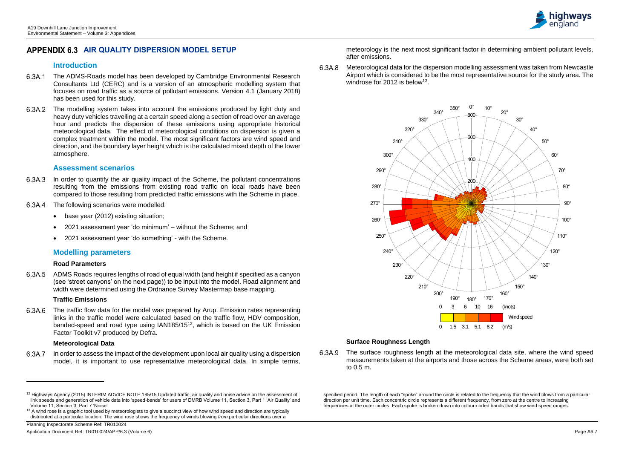# **APPENDIX 6.3 AIR QUALITY DISPERSION MODEL SETUP**

## **Introduction**

- The ADMS-Roads model has been developed by Cambridge Environmental Research Consultants Ltd (CERC) and is a version of an atmospheric modelling system that focuses on road traffic as a source of pollutant emissions. Version 4.1 (January 2018) has been used for this study.
- The modelling system takes into account the emissions produced by light duty and heavy duty vehicles travelling at a certain speed along a section of road over an average hour and predicts the dispersion of these emissions using appropriate historical meteorological data. The effect of meteorological conditions on dispersion is given a complex treatment within the model. The most significant factors are wind speed and direction, and the boundary layer height which is the calculated mixed depth of the lower atmosphere.

- 6.3A.3 In order to quantify the air quality impact of the Scheme, the pollutant concentrations resulting from the emissions from existing road traffic on local roads have been compared to those resulting from predicted traffic emissions with the Scheme in place.
- 6.3A.4 The following scenarios were modelled:
	- base year (2012) existing situation;
	- 2021 assessment year 'do minimum' without the Scheme; and
	- 2021 assessment year 'do something' with the Scheme.

## **Assessment scenarios**

6.3A.6 The traffic flow data for the model was prepared by Arup. Emission rates representing links in the traffic model were calculated based on the traffic flow, HDV composition, banded-speed and road type using IAN185/15<sup>12</sup>, which is based on the UK Emission Factor Toolkit v7 produced by Defra.

Meteorological data for the dispersion modelling assessment was taken from Newcastle 6.3A.8 Airport which is considered to be the most representative source for the study area. The windrose for 2012 is below<sup>13</sup>.

# **Modelling parameters**

#### **Road Parameters**

6.3A.9 The surface roughness length at the meteorological data site, where the wind speed measurements taken at the airports and those across the Scheme areas, were both set to 0.5 m.

ADMS Roads requires lengths of road of equal width (and height if specified as a canyon (see 'street canyons' on the next page)) to be input into the model. Road alignment and width were determined using the Ordnance Survey Mastermap base mapping.

## **Traffic Emissions**

#### **Meteorological Data**

l

In order to assess the impact of the development upon local air quality using a dispersion model, it is important to use representative meteorological data. In simple terms,

meteorology is the next most significant factor in determining ambient pollutant levels, after emissions.

## **Surface Roughness Length**

specified period. The length of each "spoke" around the circle is related to the frequency that the wind blows from a particular direction per unit time. Each concentric circle represents a different frequency, from zero at the centre to increasing frequencies at the outer circles. Each spoke is broken down into colour-coded bands that show wind speed ranges.





<sup>&</sup>lt;sup>12</sup> Highways Agency (2015) INTERIM ADVICE NOTE 185/15 Updated traffic, air quality and noise advice on the assessment of link speeds and generation of vehicle data into 'speed-bands' for users of DMRB Volume 11, Section 3, Part 1 'Air Quality' and Volume 11, Section 3. Part 7 'Noise'

<sup>&</sup>lt;sup>13</sup> A wind rose is a graphic tool used by meteorologists to give a succinct view of how wind speed and direction are typically distributed at a particular location. The wind rose shows the frequency of winds blowing *from* particular directions over a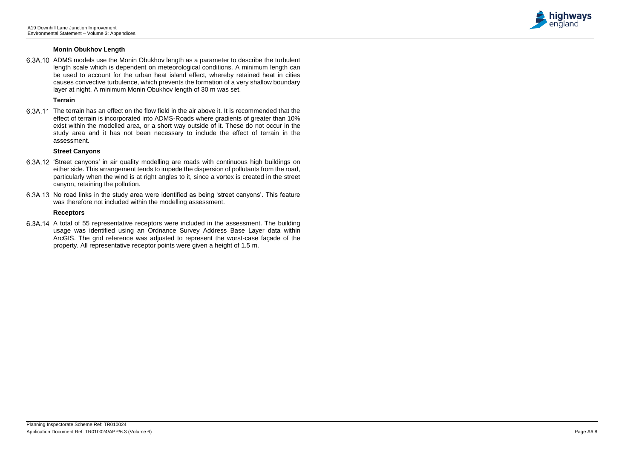

#### **Monin Obukhov Length**

6.3A.10 ADMS models use the Monin Obukhov length as a parameter to describe the turbulent length scale which is dependent on meteorological conditions. A minimum length can be used to account for the urban heat island effect, whereby retained heat in cities causes convective turbulence, which prevents the formation of a very shallow boundary layer at night. A minimum Monin Obukhov length of 30 m was set.

#### **Terrain**

The terrain has an effect on the flow field in the air above it. It is recommended that the effect of terrain is incorporated into ADMS-Roads where gradients of greater than 10% exist within the modelled area, or a short way outside of it. These do not occur in the study area and it has not been necessary to include the effect of terrain in the assessment.

6.3A.14 A total of 55 representative receptors were included in the assessment. The building usage was identified using an Ordnance Survey Address Base Layer data within ArcGIS. The grid reference was adjusted to represent the worst-case façade of the property. All representative receptor points were given a height of 1.5 m.

#### **Street Canyons**

- 'Street canyons' in air quality modelling are roads with continuous high buildings on either side. This arrangement tends to impede the dispersion of pollutants from the road, particularly when the wind is at right angles to it, since a vortex is created in the street canyon, retaining the pollution.
- 6.3A.13 No road links in the study area were identified as being 'street canyons'. This feature was therefore not included within the modelling assessment.

#### **Receptors**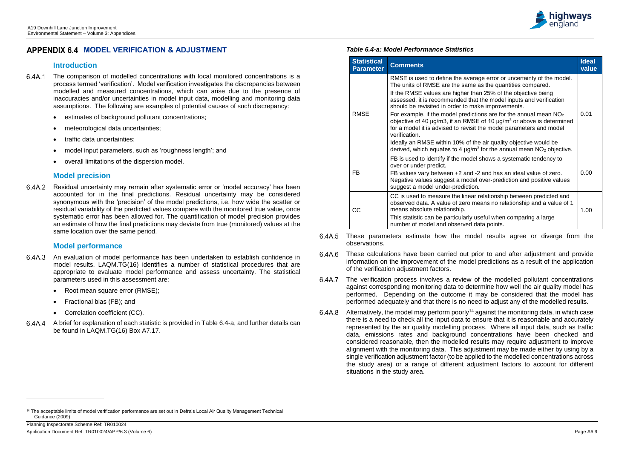l



# **APPENDIX 6.4 MODEL VERIFICATION & ADJUSTMENT**

## **Introduction**

- The comparison of modelled concentrations with local monitored concentrations is a process termed 'verification'. Model verification investigates the discrepancies between modelled and measured concentrations, which can arise due to the presence of inaccuracies and/or uncertainties in model input data, modelling and monitoring data assumptions. The following are examples of potential causes of such discrepancy:
	- estimates of background pollutant concentrations;
	- meteorological data uncertainties;
	- traffic data uncertainties;
	- model input parameters, such as 'roughness length'; and
	- overall limitations of the dispersion model.

6.4A.2 Residual uncertainty may remain after systematic error or 'model accuracy' has been accounted for in the final predictions. Residual uncertainty may be considered synonymous with the 'precision' of the model predictions, i.e. how wide the scatter or residual variability of the predicted values compare with the monitored true value, once systematic error has been allowed for. The quantification of model precision provides an estimate of how the final predictions may deviate from true (monitored) values at the same location over the same period.

# **Model precision**

# **Model performance**

- An evaluation of model performance has been undertaken to establish confidence in model results. LAQM.TG(16) identifies a number of statistical procedures that are appropriate to evaluate model performance and assess uncertainty. The statistical parameters used in this assessment are:
	- Root mean square error (RMSE);
	- Fractional bias (FB); and
	- Correlation coefficient (CC).
- A brief for explanation of each statistic is provided in Table 6.4-a, and further details can be found in LAQM.TG(16) Box A7.17.

#### *Table 6.4-a: Model Performance Statistics*

| <b>Statistical</b><br><b>Parameter</b> | <b>Comments</b>                                                                                                                                                                                                                                                                                                                                                                                                                                                                                                                                                                                                                                                   | <b>Ideal</b><br>value |  |  |  |  |
|----------------------------------------|-------------------------------------------------------------------------------------------------------------------------------------------------------------------------------------------------------------------------------------------------------------------------------------------------------------------------------------------------------------------------------------------------------------------------------------------------------------------------------------------------------------------------------------------------------------------------------------------------------------------------------------------------------------------|-----------------------|--|--|--|--|
| <b>RMSE</b>                            | RMSE is used to define the average error or uncertainty of the model.<br>The units of RMSE are the same as the quantities compared.<br>If the RMSE values are higher than 25% of the objective being<br>assessed, it is recommended that the model inputs and verification<br>should be revisited in order to make improvements.<br>For example, if the model predictions are for the annual mean $NO2$<br>objective of 40 $\mu$ g/m3, if an RMSE of 10 $\mu$ g/m <sup>3</sup> or above is determined<br>for a model it is advised to revisit the model parameters and model<br>verification.<br>Ideally an RMSE within 10% of the air quality objective would be | 0.01                  |  |  |  |  |
|                                        | derived, which equates to 4 $\mu$ g/m <sup>3</sup> for the annual mean NO <sub>2</sub> objective.<br>FB is used to identify if the model shows a systematic tendency to                                                                                                                                                                                                                                                                                                                                                                                                                                                                                           |                       |  |  |  |  |
| <b>FB</b>                              | over or under predict.<br>FB values vary between +2 and -2 and has an ideal value of zero.<br>Negative values suggest a model over-prediction and positive values<br>suggest a model under-prediction.                                                                                                                                                                                                                                                                                                                                                                                                                                                            | 0.00                  |  |  |  |  |
| CC                                     | CC is used to measure the linear relationship between predicted and<br>observed data. A value of zero means no relationship and a value of 1<br>means absolute relationship.<br>This statistic can be particularly useful when comparing a large<br>number of model and observed data points.                                                                                                                                                                                                                                                                                                                                                                     | 1.00                  |  |  |  |  |

- These parameters estimate how the model results agree or diverge from the 6.4A.5 observations.
- These calculations have been carried out prior to and after adjustment and provide 6.4A.6 information on the improvement of the model predictions as a result of the application of the verification adjustment factors.
- The verification process involves a review of the modelled pollutant concentrations 6.4A.7 against corresponding monitoring data to determine how well the air quality model has performed. Depending on the outcome it may be considered that the model has performed adequately and that there is no need to adjust any of the modelled results.
- 6.4A.8 Alternatively, the model may perform poorly<sup>14</sup> against the monitoring data, in which case there is a need to check all the input data to ensure that it is reasonable and accurately represented by the air quality modelling process. Where all input data, such as traffic data, emissions rates and background concentrations have been checked and considered reasonable, then the modelled results may require adjustment to improve alignment with the monitoring data. This adjustment may be made either by using by a single verification adjustment factor (to be applied to the modelled concentrations across the study area) or a range of different adjustment factors to account for different situations in the study area.

<sup>14</sup> The acceptable limits of model verification performance are set out in Defra's Local Air Quality Management Technical Guidance (2009)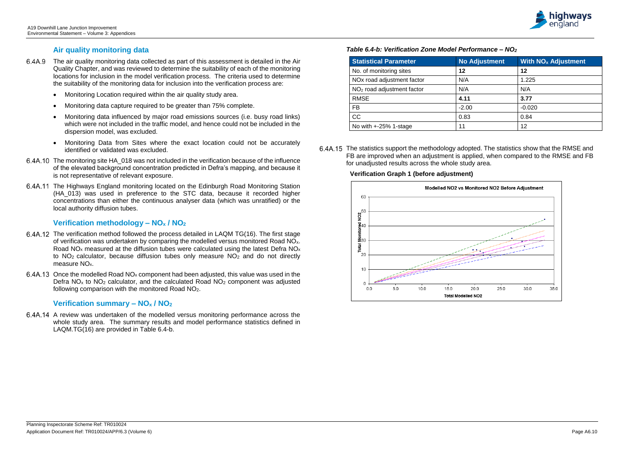

## **Air quality monitoring data**

- The air quality monitoring data collected as part of this assessment is detailed in the Air Quality Chapter, and was reviewed to determine the suitability of each of the monitoring locations for inclusion in the model verification process. The criteria used to determine the suitability of the monitoring data for inclusion into the verification process are:
	- Monitoring Location required within the air quality study area.
	- Monitoring data capture required to be greater than 75% complete.
	- Monitoring data influenced by major road emissions sources (i.e. busy road links) which were not included in the traffic model, and hence could not be included in the dispersion model, was excluded.
	- Monitoring Data from Sites where the exact location could not be accurately identified or validated was excluded.
- 6.4A.10 The monitoring site HA 018 was not included in the verification because of the influence of the elevated background concentration predicted in Defra's mapping, and because it is not representative of relevant exposure.
- 6.4A.11 The Highways England monitoring located on the Edinburgh Road Monitoring Station (HA\_013) was used in preference to the STC data, because it recorded higher concentrations than either the continuous analyser data (which was unratified) or the local authority diffusion tubes.

- 6.4A.12 The verification method followed the process detailed in LAQM TG(16). The first stage of verification was undertaken by comparing the modelled versus monitored Road NOx. Road  $NO<sub>x</sub>$  measured at the diffusion tubes were calculated using the latest Defra  $NO<sub>x</sub>$ to  $NO<sub>2</sub>$  calculator, because diffusion tubes only measure  $NO<sub>2</sub>$  and do not directly measure NO<sub>x</sub>.
- 6.4A.13 Once the modelled Road  $NO_x$  component had been adjusted, this value was used in the Defra  $NO<sub>x</sub>$  to  $NO<sub>2</sub>$  calculator, and the calculated Road  $NO<sub>2</sub>$  component was adjusted following comparison with the monitored Road NO2.

6.4A.15 The statistics support the methodology adopted. The statistics show that the RMSE and FB are improved when an adjustment is applied, when compared to the RMSE and FB for unadjusted results across the whole study area.

### **Verification methodology – NO<sup>x</sup> / NO<sup>2</sup>**

#### **Verification summary – NO<sup>x</sup> / NO<sup>2</sup>**

A review was undertaken of the modelled versus monitoring performance across the whole study area. The summary results and model performance statistics defined in LAQM.TG(16) are provided in Table 6.4-b.

#### *Table 6.4-b: Verification Zone Model Performance – NO<sup>2</sup>*

| <b>Statistical Parameter</b>           | <b>No Adjustment</b> | <b>With NO<sub>x</sub> Adjustment</b> |
|----------------------------------------|----------------------|---------------------------------------|
| No. of monitoring sites                | 12                   | 12                                    |
| NO <sub>x</sub> road adjustment factor | N/A                  | 1.225                                 |
| $NO2$ road adjustment factor           | N/A                  | N/A                                   |
| <b>RMSE</b>                            | 4.11                 | 3.77                                  |
| <b>FB</b>                              | $-2.00$              | $-0.020$                              |
| <b>CC</b>                              | 0.83                 | 0.84                                  |
| No with $+25%$ 1-stage                 | 11                   | 12                                    |

#### **Verification Graph 1 (before adjustment)**

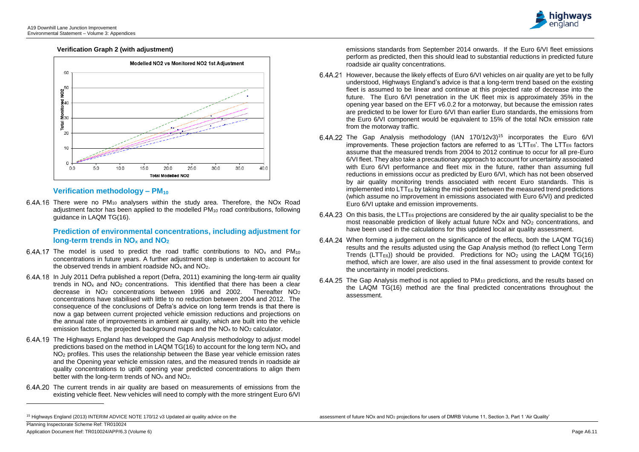l



#### **Verification Graph 2 (with adjustment)**



 $6.4A.16$  There were no PM<sub>10</sub> analysers within the study area. Therefore, the NOx Road adjustment factor has been applied to the modelled PM<sup>10</sup> road contributions, following guidance in LAQM TG(16).

#### **Verification methodology – PM<sup>10</sup>**

#### **Prediction of environmental concentrations, including adjustment for long-term trends in NO<sup>x</sup> and NO<sup>2</sup>**

- 6.4A.17 The model is used to predict the road traffic contributions to  $NO<sub>x</sub>$  and  $PM<sub>10</sub>$ concentrations in future years. A further adjustment step is undertaken to account for the observed trends in ambient roadside  $NO<sub>x</sub>$  and  $NO<sub>2</sub>$ .
- In July 2011 Defra published a report (Defra, 2011) examining the long-term air quality trends in  $NO<sub>x</sub>$  and  $NO<sub>2</sub>$  concentrations. This identified that there has been a clear decrease in  $NO<sub>2</sub>$  concentrations between 1996 and 2002. Thereafter  $NO<sub>2</sub>$ concentrations have stabilised with little to no reduction between 2004 and 2012. The consequence of the conclusions of Defra's advice on long term trends is that there is now a gap between current projected vehicle emission reductions and projections on the annual rate of improvements in ambient air quality, which are built into the vehicle emission factors, the projected background maps and the  $NO<sub>x</sub>$  to  $NO<sub>2</sub>$  calculator.
- 6.4A.19 The Highways England has developed the Gap Analysis methodology to adjust model predictions based on the method in LAQM TG(16) to account for the long term  $NO<sub>x</sub>$  and NO<sup>2</sup> profiles. This uses the relationship between the Base year vehicle emission rates and the Opening year vehicle emission rates, and the measured trends in roadside air quality concentrations to uplift opening year predicted concentrations to align them better with the long-term trends of  $NO<sub>x</sub>$  and  $NO<sub>2</sub>$ .
- 6.4A.20 The current trends in air quality are based on measurements of emissions from the existing vehicle fleet. New vehicles will need to comply with the more stringent Euro 6/VI

emissions standards from September 2014 onwards. If the Euro 6/VI fleet emissions perform as predicted, then this should lead to substantial reductions in predicted future roadside air quality concentrations.

- 6.4A.21 However, because the likely effects of Euro 6/VI vehicles on air quality are yet to be fully understood, Highways England's advice is that a long-term trend based on the existing fleet is assumed to be linear and continue at this projected rate of decrease into the future. The Euro 6/VI penetration in the UK fleet mix is approximately 35% in the opening year based on the EFT v6.0.2 for a motorway, but because the emission rates are predicted to be lower for Euro 6/VI than earlier Euro standards, the emissions from the Euro 6/VI component would be equivalent to 15% of the total NOx emission rate from the motorway traffic.
- 6.4A.22 The Gap Analysis methodology (IAN  $170/12v3$ )<sup>15</sup> incorporates the Euro 6/VI  $\frac{1}{2}$  improvements. These projection factors are referred to as 'LTT<sub>E6</sub>'. The LTT<sub>E6</sub> factors assume that the measured trends from 2004 to 2012 continue to occur for all pre-Euro 6/VI fleet. They also take a precautionary approach to account for uncertainty associated with Euro 6/VI performance and fleet mix in the future, rather than assuming full reductions in emissions occur as predicted by Euro 6/VI, which has not been observed by air quality monitoring trends associated with recent Euro standards. This is  $implemented$  into LTT $_{E6}$  by taking the mid-point between the measured trend predictions (which assume no improvement in emissions associated with Euro 6/VI) and predicted Euro 6/VI uptake and emission improvements.
- 6.4A.23 On this basis, the LTT $_{E6}$  projections are considered by the air quality specialist to be the most reasonable prediction of likely actual future NOx and NO<sup>2</sup> concentrations, and have been used in the calculations for this updated local air quality assessment.
- When forming a judgement on the significance of the effects, both the LAQM TG(16) results and the results adjusted using the Gap Analysis method (to reflect Long Term Trends (LTT<sub>E6</sub>)) should be provided. Predictions for  $NO<sub>2</sub>$  using the LAQM TG(16) method, which are lower, are also used in the final assessment to provide context for the uncertainty in model predictions.
- 6.4A.25 The Gap Analysis method is not applied to PM<sub>10</sub> predictions, and the results based on the LAQM TG(16) method are the final predicted concentrations throughout the assessment.

<sup>15</sup> Highways England (2013) INTERIM ADVICE NOTE 170/12 v3 Updated air quality advice on the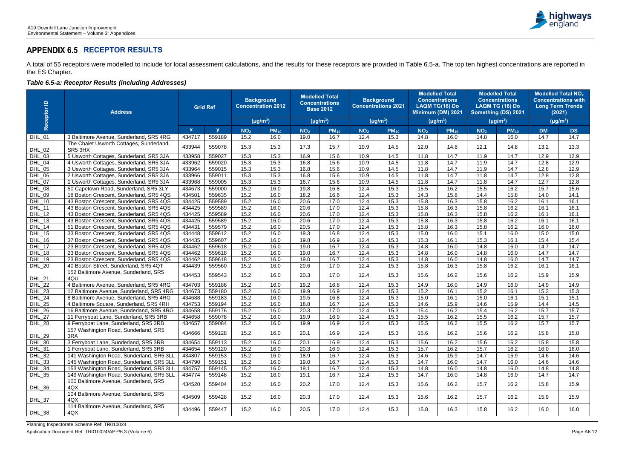## **APPENDIX 6.5 RECEPTOR RESULTS**

A total of 55 receptors were modelled to include for local assessment calculations, and the results for these receptors are provided in Table 6.5-a. The top ten highest concentrations are reported in the ES Chapter.

## *Table 6.5-a: Receptor Results (including Addresses)*

| Receptor ID        | <b>Address</b>                                                                     | <b>Grid Ref</b>  |                  | <b>Background</b><br><b>Concentration 2012</b> |               | <b>Modelled Total</b><br><b>Concentrations</b><br><b>Base 2012</b> |              | <b>Background</b><br><b>Concentrations 2021</b> |               | <b>Modelled Total</b><br><b>Concentrations</b><br><b>LAQM TG(16) Do</b><br>Minimum (DM) 2021 |               | <b>Modelled Total</b><br><b>Concentrations</b><br><b>LAQM TG (16) Do</b><br>Something (DS) 2021 |               | <b>Modelled Total NO<sub>2</sub></b><br><b>Concentrations with</b><br><b>Long Term Trends</b><br>(2021) |               |
|--------------------|------------------------------------------------------------------------------------|------------------|------------------|------------------------------------------------|---------------|--------------------------------------------------------------------|--------------|-------------------------------------------------|---------------|----------------------------------------------------------------------------------------------|---------------|-------------------------------------------------------------------------------------------------|---------------|---------------------------------------------------------------------------------------------------------|---------------|
|                    |                                                                                    |                  |                  |                                                | $(\mu g/m^3)$ | $(\mu g/m^3)$                                                      |              |                                                 | $(\mu g/m^3)$ |                                                                                              | $(\mu g/m^3)$ |                                                                                                 | $(\mu g/m^3)$ |                                                                                                         | $(\mu g/m^3)$ |
|                    |                                                                                    | $\mathbf{x}$     | $\mathbf{V}$     | NO <sub>2</sub>                                | $PM_{10}$     | NO <sub>2</sub>                                                    | $PM_{10}$    | NO <sub>2</sub>                                 | $PM_{10}$     | NO <sub>2</sub>                                                                              | $PM_{10}$     | NO <sub>2</sub>                                                                                 | $PM_{10}$     | <b>DM</b>                                                                                               | <b>DS</b>     |
| <b>DHL_01</b>      | 3 Baltimore Avenue, Sunderland, SR5 4RG                                            | 434717           | 559189           | 15.2                                           | 16.0          | 19.0                                                               | 16.7         | 12.4                                            | 15.3          | 14.8                                                                                         | 16.0          | 14.8                                                                                            | 16.0          | 14.7                                                                                                    | 14.7          |
| DHL_02             | The Chalet Usworth Cottages, Sunderland,<br>SR5 3HX                                | 433944           | 559078           | 15.3                                           | 15.3          | 17.3                                                               | 15.7         | 10.9                                            | 14.5          | 12.0                                                                                         | 14.8          | 12.1                                                                                            | 14.8          | 13.2                                                                                                    | 13.3          |
| <b>DHL_03</b>      | 5 Usworth Cottages, Sunderland, SR5 3JA                                            | 433958           | 559027           | 15.3                                           | 15.3          | 16.9                                                               | 15.6         | 10.9                                            | 14.5          | 11.8                                                                                         | 14.7          | 11.9                                                                                            | 14.7          | 12.9                                                                                                    | 12.9          |
| DHL_04             | 4 Usworth Cottages, Sunderland, SR5 3JA                                            | 433962           | 559020           | 15.3                                           | 15.3          | 16.8                                                               | 15.6         | 10.9                                            | 14.5          | 11.8                                                                                         | 14.7          | 11.9                                                                                            | 14.7          | 12.8                                                                                                    | 12.9          |
| <b>DHL_05</b>      | 3 Usworth Cottages, Sunderland, SR5 3JA                                            | 433964           | 559015           | 15.3                                           | 15.3          | 16.8                                                               | 15.6         | 10.9                                            | 14.5          | 11.8                                                                                         | 14.7          | 11.9                                                                                            | 14.7          | 12.8                                                                                                    | 12.9          |
| DHL_06             | 2 Usworth Cottages, Sunderland, SR5 3JA                                            | 433966           | 559011           | 15.3                                           | 15.3          | 16.8                                                               | 15.6         | 10.9                                            | 14.5          | 11.8                                                                                         | 14.7          | 11.8                                                                                            | 14.7          | 12.8                                                                                                    | 12.8          |
| $DHL_07$           | 1 Usworth Cottages, Sunderland, SR5 3JA                                            | 433968           | 559005           | 15.3                                           | 15.3          | 16.7                                                               | 15.6         | 10.9                                            | 14.5          | 11.8                                                                                         | 14.7          | 11.8                                                                                            | 14.7          | 12.7                                                                                                    | 12.8          |
| <b>DHL_08</b>      | 50 Capetown Road, Sunderland, SR5 3LY                                              | 434673           | 559000           | 15.2                                           | 16.0          | 19.8                                                               | 16.8         | 12.4                                            | 15.3          | 15.5                                                                                         | 16.2          | 15.5                                                                                            | 16.2          | 15.7                                                                                                    | 15.6          |
| DHL_09             | 18 Boston Crescent, Sunderland, SR5 4QS                                            | 434501           | 559635           | 15.2                                           | 16.0          | 18.2                                                               | 16.6         | 12.4                                            | 15.3          | 14.3                                                                                         | 15.8          | 14.4                                                                                            | 15.8          | 14.0                                                                                                    | 14.1          |
| $DHL_10$           | 43 Boston Crescent, Sunderland, SR5 4QS                                            | 434425           | 559589           | 15.2                                           | 16.0          | 20.6                                                               | 17.0         | 12.4                                            | 15.3          | 15.8                                                                                         | 16.3          | 15.8                                                                                            | 16.2          | 16.1                                                                                                    | 16.1          |
| <b>DHL_11</b>      | 43 Boston Crescent, Sunderland, SR5 4QS                                            | 434425           | 559589           | 15.2                                           | 16.0          | 20.6                                                               | 17.0         | 12.4                                            | 15.3          | 15.8                                                                                         | 16.3          | 15.8                                                                                            | 16.2          | 16.1                                                                                                    | 16.1          |
| DHL_12             | 43 Boston Crescent, Sunderland, SR5 4QS                                            | 434425           | 559589           | 15.2                                           | 16.0          | 20.6                                                               | 17.0         | 12.4                                            | 15.3          | 15.8                                                                                         | 16.3          | 15.8                                                                                            | 16.2          | 16.1                                                                                                    | 16.1          |
| $DHL_13$<br>DHL_14 | 43 Boston Crescent, Sunderland, SR5 4QS<br>51 Boston Crescent, Sunderland, SR5 4QS | 434425<br>434431 | 559589<br>559579 | 15.2<br>15.2                                   | 16.0<br>16.0  | 20.6<br>20.5                                                       | 17.0<br>17.0 | 12.4<br>12.4                                    | 15.3<br>15.3  | 15.8<br>15.8                                                                                 | 16.3<br>16.3  | 15.8<br>15.8                                                                                    | 16.2<br>16.2  | 16.1<br>16.0                                                                                            | 16.1<br>16.0  |
| DHL_15             | 33 Boston Crescent, Sunderland, SR5 4QS                                            | 434448           | 559612           | 15.2                                           | 16.0          | 19.3                                                               | 16.8         | 12.4                                            | 15.3          | 15.0                                                                                         | 16.0          | 15.1                                                                                            | 16.0          | 15.0                                                                                                    | 15.0          |
| DHL_16             | 37 Boston Crescent, Sunderland, SR5 4QS                                            | 434435           | 559607           | 15.2                                           | 16.0          | 19.8                                                               | 16.9         | 12.4                                            | 15.3          | 15.3                                                                                         | 16.1          | 15.3                                                                                            | 16.1          | 15.4                                                                                                    | 15.4          |
| DHL_17             | 23 Boston Crescent, Sunderland, SR5 4QS                                            | 434462           | 559618           | 15.2                                           | 16.0          | 19.0                                                               | 16.7         | 12.4                                            | 15.3          | 14.8                                                                                         | 16.0          | 14.8                                                                                            | 16.0          | 14.7                                                                                                    | 14.7          |
| DHL_18             | 23 Boston Crescent, Sunderland, SR5 4QS                                            | 434462           | 559618           | 15.2                                           | 16.0          | 19.0                                                               | 16.7         | 12.4                                            | 15.3          | 14.8                                                                                         | 16.0          | 14.8                                                                                            | 16.0          | 14.7                                                                                                    | 14.7          |
| DHL_19             | 23 Boston Crescent, Sunderland, SR5 4QS                                            | 434462           | 559618           | 15.2                                           | 16.0          | 19.0                                                               | 16.7         | 12.4                                            | 15.3          | 14.8                                                                                         | 16.0          | 14.8                                                                                            | 16.0          | 14.7                                                                                                    | 14.7          |
| <b>DHL_20</b>      | 40 Boston Street, Sunderland, SR5 4QT                                              | 434439           | 559560           | 15.2                                           | 16.0          | 20.6                                                               | 17.0         | 12.4                                            | 15.3          | 15.8                                                                                         | 16.3          | 15.8                                                                                            | 16.2          | 16.1                                                                                                    | 16.1          |
| DHL_21             | 152 Baltimore Avenue, Sunderland, SR5<br>4QU                                       | 434453           | 559543           | 15.2                                           | 16.0          | 20.3                                                               | 17.0         | 12.4                                            | 15.3          | 15.6                                                                                         | 16.2          | 15.6                                                                                            | 16.2          | 15.9                                                                                                    | 15.9          |
| DHL_22             | 4 Baltimore Avenue, Sunderland, SR5 4RG                                            | 434703           | 559186           | 15.2                                           | 16.0          | 19.2                                                               | 16.8         | 12.4                                            | 15.3          | 14.9                                                                                         | 16.0          | 14.9                                                                                            | 16.0          | 14.9                                                                                                    | 14.9          |
| DHL_23             | 12 Baltimore Avenue, Sunderland, SR5 4RG                                           | 434673           | 559180           | 15.2                                           | 16.0          | 19.9                                                               | 16.9         | 12.4                                            | 15.3          | 15.2                                                                                         | 16.1          | 15.2                                                                                            | 16.1          | 15.3                                                                                                    | 15.3          |
| DHL_24             | 8 Baltimore Avenue, Sunderland, SR5 4RG                                            | 434688           | 559183           | 15.2                                           | 16.0          | 19.5                                                               | 16.8         | 12.4                                            | 15.3          | 15.0                                                                                         | 16.1          | 15.0                                                                                            | 16.1          | 15.1                                                                                                    | 15.1          |
| DHL_25             | 4 Baltimore Square, Sunderland, SR5 4RH                                            | 434753           | 559194           | 15.2                                           | 16.0          | 18.8                                                               | 16.7         | 12.4                                            | 15.3          | 14.6                                                                                         | 15.9          | 14.6                                                                                            | 15.9          | 14.4                                                                                                    | 14.5          |
| DHL_26             | 16 Baltimore Avenue, Sunderland, SR5 4RG                                           | 434658           | 559176           | 15.2                                           | 16.0          | 20.3                                                               | 17.0         | 12.4                                            | 15.3          | 15.4                                                                                         | 16.2          | 15.4                                                                                            | 16.2          | 15.7                                                                                                    | 15.7          |
| DHL_27             | 11 Ferryboat Lane, Sunderland, SR5 3RB                                             | 434658           | 559078           | 15.2                                           | 16.0          | 19.9                                                               | 16.9         | 12.4                                            | 15.3          | 15.5                                                                                         | 16.2          | 15.5                                                                                            | 16.2          | 15.7                                                                                                    | 15.7          |
| <b>DHL_28</b>      | 9 Ferryboat Lane, Sunderland, SR5 3RB                                              | 434657           | 559084           | 15.2                                           | 16.0          | 19.9                                                               | 16.9         | 12.4                                            | 15.3          | 15.5                                                                                         | 16.2          | 15.5                                                                                            | 16.2          | 15.7                                                                                                    | 15.7          |
| DHL_29             | 157 Washington Road, Sunderland, SR5<br>3RA                                        | 434666           | 559128           | 15.2                                           | 16.0          | 20.1                                                               | 16.9         | 12.4                                            | 15.3          | 15.6                                                                                         | 16.2          | 15.6                                                                                            | 16.2          | 15.8                                                                                                    | 15.8          |
| DHL_30             | 3 Ferryboat Lane, Sunderland, SR5 3RB                                              | 434654           | 559113           | 15.2                                           | 16.0          | 20.1                                                               | 16.9         | 12.4                                            | 15.3          | 15.6                                                                                         | 16.2          | 15.6                                                                                            | 16.2          | 15.8                                                                                                    | 15.8          |
| DHL_31             | 1 Ferryboat Lane, Sunderland, SR5 3RB                                              | 434654           | 559120           | 15.2                                           | 16.0          | 20.3                                                               | 16.9         | 12.4                                            | 15.3          | 15.7                                                                                         | 16.2          | 15.7                                                                                            | 16.2          | 16.0                                                                                                    | 16.0          |
| DHL_32             | 141 Washington Road, Sunderland, SR5 3LL                                           | 434807           | 559153           | 15.2                                           | 16.0          | 18.9                                                               | 16.7         | 12.4                                            | 15.3          | 14.6                                                                                         | 15.9          | 14.7                                                                                            | 15.9          | 14.6                                                                                                    | 14.6          |
| DHL_33             | 145 Washington Road, Sunderland, SR5 3LL                                           | 434790           | 559151           | 15.2                                           | 16.0          | 19.0                                                               | 16.7         | 12.4                                            | 15.3          | 14.7                                                                                         | 16.0          | 14.7                                                                                            | 16.0          | 14.6                                                                                                    | 14.6          |
| DHL_34             | 153 Washington Road, Sunderland, SR5 3LL                                           | 434757           | 559145           | 15.2                                           | 16.0          | 19.1                                                               | 16.7         | 12.4                                            | 15.3          | 14.8                                                                                         | 16.0          | 14.8                                                                                            | 16.0          | 14.8                                                                                                    | 14.8          |
| <b>DHL_35</b>      | 149 Washington Road, Sunderland, SR5 3LL                                           | 434774           | 559148           | 15.2                                           | 16.0          | 19.1                                                               | 16.7         | 12.4                                            | 15.3          | 14.7                                                                                         | 16.0          | 14.8                                                                                            | 16.0          | 14.7                                                                                                    | 14.7          |
| DHL_36             | 100 Baltimore Avenue, Sunderland, SR5<br>4QX                                       | 434520           | 559404           | 15.2                                           | 16.0          | 20.2                                                               | 17.0         | 12.4                                            | 15.3          | 15.6                                                                                         | 16.2          | 15.7                                                                                            | 16.2          | 15.8                                                                                                    | 15.9          |
| DHL_37             | 104 Baltimore Avenue, Sunderland, SR5<br>4QX                                       | 434509           | 559428           | 15.2                                           | 16.0          | 20.3                                                               | 17.0         | 12.4                                            | 15.3          | 15.6                                                                                         | 16.2          | 15.7                                                                                            | 16.2          | 15.9                                                                                                    | 15.9          |
| DHL_38             | 114 Baltimore Avenue, Sunderland, SR5<br>4QX                                       | 434496           | 559447           | 15.2                                           | 16.0          | 20.5                                                               | 17.0         | 12.4                                            | 15.3          | 15.8                                                                                         | 16.3          | 15.8                                                                                            | 16.2          | 16.0                                                                                                    | 16.0          |

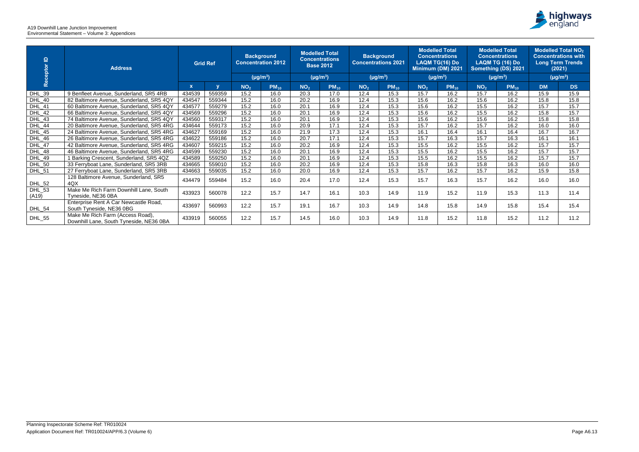A19 Downhill Lane Junction Improvement Environmental Statement – Volume 3: Appendices

| Receptor ID            | <b>Address</b>                                                              | <b>Grid Ref</b> |              | <b>Background</b><br><b>Concentration 2012</b> |               | <b>Modelled Total</b><br><b>Concentrations</b><br><b>Base 2012</b> |               | <b>Background</b><br><b>Concentrations 2021</b> |               | <b>Modelled Total</b><br><b>Concentrations</b><br><b>LAQM TG(16) Do</b><br>Minimum (DM) 2021 |               | <b>Modelled Total</b><br><b>Concentrations</b><br>LAQM TG (16) Do<br>Something (DS) 2021 |               | <b>Modelled Total NO<sub>2</sub></b><br><b>Concentrations with</b><br><b>Long Term Trends</b><br>(2021) |               |
|------------------------|-----------------------------------------------------------------------------|-----------------|--------------|------------------------------------------------|---------------|--------------------------------------------------------------------|---------------|-------------------------------------------------|---------------|----------------------------------------------------------------------------------------------|---------------|------------------------------------------------------------------------------------------|---------------|---------------------------------------------------------------------------------------------------------|---------------|
|                        |                                                                             |                 |              |                                                | $(\mu g/m^3)$ |                                                                    | $(\mu g/m^3)$ |                                                 | $(\mu g/m^3)$ |                                                                                              | $(\mu g/m^3)$ |                                                                                          | $(\mu g/m^3)$ |                                                                                                         | $(\mu g/m^3)$ |
|                        |                                                                             | $\mathbf{x}$    | $\mathbf{v}$ | NO <sub>2</sub>                                | $PM_{10}$     | NO <sub>2</sub>                                                    | $PM_{10}$     | NO <sub>2</sub>                                 | $PM_{10}$     | NO <sub>2</sub>                                                                              | $PM_{10}$     | NO <sub>2</sub>                                                                          | $PM_{10}$     | <b>DM</b>                                                                                               | <b>DS</b>     |
| DHL_39                 | 9 Benfleet Avenue, Sunderland, SR5 4RB                                      | 434539          | 559359       | 15.2                                           | 16.0          | 20.3                                                               | 17.0          | 12.4                                            | 15.3          | 15.7                                                                                         | 16.2          | 15.7                                                                                     | 16.2          | 15.9                                                                                                    | 15.9          |
| <b>DHL_40</b>          | 82 Baltimore Avenue, Sunderland, SR5 4QY                                    | 434547          | 559344       | 15.2                                           | 16.0          | 20.2                                                               | 16.9          | 12.4                                            | 15.3          | 15.6                                                                                         | 16.2          | 15.6                                                                                     | 16.2          | 15.8                                                                                                    | 15.8          |
| <b>DHL_41</b>          | 60 Baltimore Avenue, Sunderland, SR5 4QY                                    | 434577          | 559279       | 15.2                                           | 16.0          | 20.1                                                               | 16.9          | 12.4                                            | 15.3          | 15.6                                                                                         | 16.2          | 15.5                                                                                     | 16.2          | 15.7                                                                                                    | 15.7          |
| DHL_42                 | 66 Baltimore Avenue, Sunderland, SR5 4QY                                    | 434569          | 559296       | 15.2                                           | 16.0          | 20.1                                                               | 16.9          | 12.4                                            | 15.3          | 15.6                                                                                         | 16.2          | 15.5                                                                                     | 16.2          | 15.8                                                                                                    | 15.7          |
| DHL_43                 | 74 Baltimore Avenue, Sunderland, SR5 4QY                                    | 434560          | 559317       | 15.2                                           | 16.0          | 20.1                                                               | 16.9          | 12.4                                            | 15.3          | 15.6                                                                                         | 16.2          | 15.6                                                                                     | 16.2          | 15.8                                                                                                    | 15.8          |
| DHL_44                 | 20 Baltimore Avenue, Sunderland, SR5 4RG                                    | 434644          | 559173       | 15.2                                           | 16.0          | 20.9                                                               | 17.1          | 12.4                                            | 15.3          | 15.7                                                                                         | 16.2          | 15.7                                                                                     | 16.2          | 16.0                                                                                                    | 16.0          |
| <b>DHL_45</b>          | 24 Baltimore Avenue, Sunderland, SR5 4RG                                    | 434627          | 559169       | 15.2                                           | 16.0          | 21.9                                                               | 17.3          | 12.4                                            | 15.3          | 16.1                                                                                         | 16.4          | 16.1                                                                                     | 16.4          | 16.7                                                                                                    | 16.7          |
| DHL_46                 | 26 Baltimore Avenue, Sunderland, SR5 4RG                                    | 434622          | 559186       | 15.2                                           | 16.0          | 20.7                                                               | 17.1          | 12.4                                            | 15.3          | 15.7                                                                                         | 16.3          | 15.7                                                                                     | 16.3          | 16.1                                                                                                    | 16.1          |
| DHL_47                 | 42 Baltimore Avenue, Sunderland, SR5 4RG                                    | 434607          | 559215       | 15.2                                           | 16.0          | 20.2                                                               | 16.9          | 12.4                                            | 15.3          | 15.5                                                                                         | 16.2          | 15.5                                                                                     | 16.2          | 15.7                                                                                                    | 15.7          |
| <b>DHL_48</b>          | 46 Baltimore Avenue, Sunderland, SR5 4RG                                    | 434599          | 559230       | 15.2                                           | 16.0          | 20.1                                                               | 16.9          | 12.4                                            | 15.3          | 15.5                                                                                         | 16.2          | 15.5                                                                                     | 16.2          | 15.7                                                                                                    | 15.7          |
| <b>DHL_49</b>          | 1 Barking Crescent, Sunderland, SR5 4QZ                                     | 434589          | 559250       | 15.2                                           | 16.0          | 20.1                                                               | 16.9          | 12.4                                            | 15.3          | 15.5                                                                                         | 16.2          | 15.5                                                                                     | 16.2          | 15.7                                                                                                    | 15.7          |
| DHL_50                 | 33 Ferryboat Lane, Sunderland, SR5 3RB                                      | 434665          | 559010       | 15.2                                           | 16.0          | 20.2                                                               | 16.9          | 12.4                                            | 15.3          | 15.8                                                                                         | 16.3          | 15.8                                                                                     | 16.3          | 16.0                                                                                                    | 16.0          |
| <b>DHL_51</b>          | 27 Ferryboat Lane, Sunderland, SR5 3RB                                      | 434663          | 559035       | 15.2                                           | 16.0          | 20.0                                                               | 16.9          | 12.4                                            | 15.3          | 15.7                                                                                         | 16.2          | 15.7                                                                                     | 16.2          | 15.9                                                                                                    | 15.8          |
| <b>DHL_52</b>          | 128 Baltimore Avenue, Sunderland, SR5<br>4QX                                | 434479          | 559484       | 15.2                                           | 16.0          | 20.4                                                               | 17.0          | 12.4                                            | 15.3          | 15.7                                                                                         | 16.3          | 15.7                                                                                     | 16.2          | 16.0                                                                                                    | 16.0          |
| <b>DHL_53</b><br>(A19) | Make Me Rich Farm Downhill Lane, South<br>Tyneside, NE36 0BA                | 433923          | 560078       | 12.2                                           | 15.7          | 14.7                                                               | 16.1          | 10.3                                            | 14.9          | 11.9                                                                                         | 15.2          | 11.9                                                                                     | 15.3          | 11.3                                                                                                    | 11.4          |
| <b>DHL_54</b>          | Enterprise Rent A Car Newcastle Road,<br>South Tyneside, NE36 0BG           | 433697          | 560993       | 12.2                                           | 15.7          | 19.1                                                               | 16.7          | 10.3                                            | 14.9          | 14.8                                                                                         | 15.8          | 14.9                                                                                     | 15.8          | 15.4                                                                                                    | 15.4          |
| <b>DHL_55</b>          | Make Me Rich Farm (Access Road),<br>Downhill Lane, South Tyneside, NE36 0BA | 433919          | 560055       | 12.2                                           | 15.7          | 14.5                                                               | 16.0          | 10.3                                            | 14.9          | 11.8                                                                                         | 15.2          | 11.8                                                                                     | 15.2          | 11.2                                                                                                    | 11.2          |

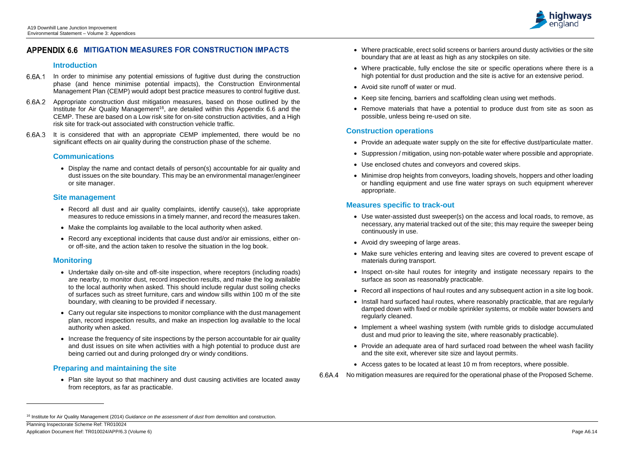Planning Inspectorate Scheme Ref: TR010024 Application Document Ref: TR010024/APP/6.3 (Volume 6) Page A6.14

l



# **MITIGATION MEASURES FOR CONSTRUCTION IMPACTS**

### **Introduction**

- 6.6A.1 In order to minimise any potential emissions of fugitive dust during the construction phase (and hence minimise potential impacts), the Construction Environmental Management Plan (CEMP) would adopt best practice measures to control fugitive dust.
- 6.6A.2 Appropriate construction dust mitigation measures, based on those outlined by the Institute for Air Quality Management<sup>16</sup>, are detailed within this Appendix 6.6 and the CEMP. These are based on a Low risk site for on-site construction activities, and a High risk site for track-out associated with construction vehicle traffic.
- 6.6A.3 It is considered that with an appropriate CEMP implemented, there would be no significant effects on air quality during the construction phase of the scheme.

## **Communications**

• Display the name and contact details of person(s) accountable for air quality and dust issues on the site boundary. This may be an environmental manager/engineer or site manager.

### **Site management**

- Record all dust and air quality complaints, identify cause(s), take appropriate measures to reduce emissions in a timely manner, and record the measures taken.
- Make the complaints log available to the local authority when asked.
- Record any exceptional incidents that cause dust and/or air emissions, either onor off-site, and the action taken to resolve the situation in the log book.

# **Monitoring**

- Undertake daily on-site and off-site inspection, where receptors (including roads) are nearby, to monitor dust, record inspection results, and make the log available to the local authority when asked. This should include regular dust soiling checks of surfaces such as street furniture, cars and window sills within 100 m of the site boundary, with cleaning to be provided if necessary.
- Carry out regular site inspections to monitor compliance with the dust management plan, record inspection results, and make an inspection log available to the local authority when asked.
- Increase the frequency of site inspections by the person accountable for air quality and dust issues on site when activities with a high potential to produce dust are being carried out and during prolonged dry or windy conditions.

No mitigation measures are required for the operational phase of the Proposed Scheme.6.6A.4

# **Preparing and maintaining the site**

• Plan site layout so that machinery and dust causing activities are located away from receptors, as far as practicable.

- Where practicable, fully enclose the site or specific operations where there is a high potential for dust production and the site is active for an extensive period.
- Avoid site runoff of water or mud.
- Keep site fencing, barriers and scaffolding clean using wet methods.
- Remove materials that have a potential to produce dust from site as soon as possible, unless being re-used on site.

# **Construction operations**

- Provide an adequate water supply on the site for effective dust/particulate matter.
- Suppression / mitigation, using non-potable water where possible and appropriate.
- Use enclosed chutes and conveyors and covered skips.
- Minimise drop heights from conveyors, loading shovels, hoppers and other loading or handling equipment and use fine water sprays on such equipment wherever appropriate.

# **Measures specific to track-out**

- Use water-assisted dust sweeper(s) on the access and local roads, to remove, as necessary, any material tracked out of the site; this may require the sweeper being continuously in use.
- Avoid dry sweeping of large areas.
- Make sure vehicles entering and leaving sites are covered to prevent escape of materials during transport.
- Inspect on-site haul routes for integrity and instigate necessary repairs to the surface as soon as reasonably practicable.
- Record all inspections of haul routes and any subsequent action in a site log book.
- Install hard surfaced haul routes, where reasonably practicable, that are regularly damped down with fixed or mobile sprinkler systems, or mobile water bowsers and regularly cleaned.
- Implement a wheel washing system (with rumble grids to dislodge accumulated dust and mud prior to leaving the site, where reasonably practicable).
- Provide an adequate area of hard surfaced road between the wheel wash facility and the site exit, wherever site size and layout permits.
- Access gates to be located at least 10 m from receptors, where possible.

<sup>16</sup> Institute for Air Quality Management (2014) *Guidance on the assessment of dust from* demolition and construction.

<sup>•</sup> Where practicable, erect solid screens or barriers around dusty activities or the site boundary that are at least as high as any stockpiles on site.